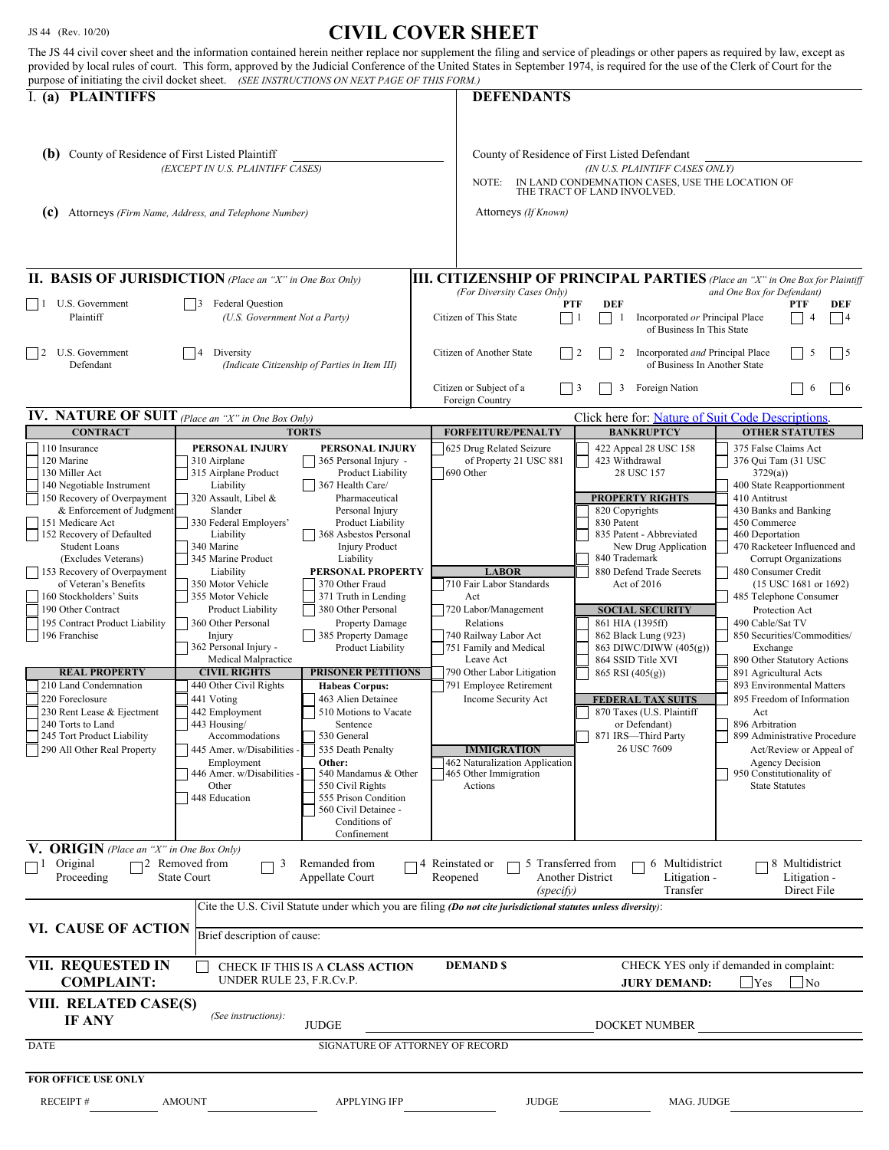## JS 44 (Rev. 10/20) **CIVIL COVER SHEET**

| purpose of initiating the civil docket sheet. (SEE INSTRUCTIONS ON NEXT PAGE OF THIS FORM.)                                                                                                                                                                                                                                                                                                                                                                                                                                                                                                                              |                                                                                                                                                                                                                                                                                                                                                                                                                                                                                                                                                    |                                                                                                                                                                                                                                                                                                                                                                                                                                                                                                                                                                                                                                                | <u>Civid Cyzydivonde i</u><br>The JS 44 civil cover sheet and the information contained herein neither replace nor supplement the filing and service of pleadings or other papers as required by law, except as<br>provided by local rules of court. This form, approved by the Judicial Conference of the United States in September 1974, is required for the use of the Clerk of Court for the |                                                                                                                                                                                                                                                                                                                                                                                                                                                                  |                                                                                                                                                                                                                                                                                                                                                                                                                                                                                                                                                                                                                                                           |
|--------------------------------------------------------------------------------------------------------------------------------------------------------------------------------------------------------------------------------------------------------------------------------------------------------------------------------------------------------------------------------------------------------------------------------------------------------------------------------------------------------------------------------------------------------------------------------------------------------------------------|----------------------------------------------------------------------------------------------------------------------------------------------------------------------------------------------------------------------------------------------------------------------------------------------------------------------------------------------------------------------------------------------------------------------------------------------------------------------------------------------------------------------------------------------------|------------------------------------------------------------------------------------------------------------------------------------------------------------------------------------------------------------------------------------------------------------------------------------------------------------------------------------------------------------------------------------------------------------------------------------------------------------------------------------------------------------------------------------------------------------------------------------------------------------------------------------------------|---------------------------------------------------------------------------------------------------------------------------------------------------------------------------------------------------------------------------------------------------------------------------------------------------------------------------------------------------------------------------------------------------|------------------------------------------------------------------------------------------------------------------------------------------------------------------------------------------------------------------------------------------------------------------------------------------------------------------------------------------------------------------------------------------------------------------------------------------------------------------|-----------------------------------------------------------------------------------------------------------------------------------------------------------------------------------------------------------------------------------------------------------------------------------------------------------------------------------------------------------------------------------------------------------------------------------------------------------------------------------------------------------------------------------------------------------------------------------------------------------------------------------------------------------|
| I. (a) PLAINTIFFS                                                                                                                                                                                                                                                                                                                                                                                                                                                                                                                                                                                                        |                                                                                                                                                                                                                                                                                                                                                                                                                                                                                                                                                    |                                                                                                                                                                                                                                                                                                                                                                                                                                                                                                                                                                                                                                                | <b>DEFENDANTS</b>                                                                                                                                                                                                                                                                                                                                                                                 |                                                                                                                                                                                                                                                                                                                                                                                                                                                                  |                                                                                                                                                                                                                                                                                                                                                                                                                                                                                                                                                                                                                                                           |
| (b) County of Residence of First Listed Plaintiff<br>(EXCEPT IN U.S. PLAINTIFF CASES)<br>(c) Attorneys (Firm Name, Address, and Telephone Number)                                                                                                                                                                                                                                                                                                                                                                                                                                                                        |                                                                                                                                                                                                                                                                                                                                                                                                                                                                                                                                                    |                                                                                                                                                                                                                                                                                                                                                                                                                                                                                                                                                                                                                                                | County of Residence of First Listed Defendant<br>(IN U.S. PLAINTIFF CASES ONLY)<br>IN LAND CONDEMNATION CASES, USE THE LOCATION OF<br>NOTE:<br>THE TRACT OF LAND INVOLVED.<br>Attorneys (If Known)                                                                                                                                                                                                |                                                                                                                                                                                                                                                                                                                                                                                                                                                                  |                                                                                                                                                                                                                                                                                                                                                                                                                                                                                                                                                                                                                                                           |
| <b>II. BASIS OF JURISDICTION</b> (Place an "X" in One Box Only)                                                                                                                                                                                                                                                                                                                                                                                                                                                                                                                                                          |                                                                                                                                                                                                                                                                                                                                                                                                                                                                                                                                                    |                                                                                                                                                                                                                                                                                                                                                                                                                                                                                                                                                                                                                                                | <b>III. CITIZENSHIP OF PRINCIPAL PARTIES</b> (Place an "X" in One Box for Plaintiff                                                                                                                                                                                                                                                                                                               |                                                                                                                                                                                                                                                                                                                                                                                                                                                                  |                                                                                                                                                                                                                                                                                                                                                                                                                                                                                                                                                                                                                                                           |
| $\vert$   1 U.S. Government<br>Plaintiff                                                                                                                                                                                                                                                                                                                                                                                                                                                                                                                                                                                 | <b>Federal Question</b><br>(U.S. Government Not a Party)                                                                                                                                                                                                                                                                                                                                                                                                                                                                                           |                                                                                                                                                                                                                                                                                                                                                                                                                                                                                                                                                                                                                                                | and One Box for Defendant)<br>(For Diversity Cases Only)<br><b>DEF</b><br><b>PTF</b><br>PTF<br>DEF<br>Citizen of This State<br>Incorporated or Principal Place<br>-1<br> 4<br>$\vert$ 1<br>$\overline{4}$<br>of Business In This State                                                                                                                                                            |                                                                                                                                                                                                                                                                                                                                                                                                                                                                  |                                                                                                                                                                                                                                                                                                                                                                                                                                                                                                                                                                                                                                                           |
| $ $  2<br>U.S. Government<br>Defendant                                                                                                                                                                                                                                                                                                                                                                                                                                                                                                                                                                                   | Diversity<br>$\vert$ 4<br>(Indicate Citizenship of Parties in Item III)                                                                                                                                                                                                                                                                                                                                                                                                                                                                            |                                                                                                                                                                                                                                                                                                                                                                                                                                                                                                                                                                                                                                                | Citizen of Another State<br>$\vert$ 2<br>2<br>Incorporated and Principal Place<br>5<br>$\frac{15}{2}$<br>of Business In Another State                                                                                                                                                                                                                                                             |                                                                                                                                                                                                                                                                                                                                                                                                                                                                  |                                                                                                                                                                                                                                                                                                                                                                                                                                                                                                                                                                                                                                                           |
|                                                                                                                                                                                                                                                                                                                                                                                                                                                                                                                                                                                                                          |                                                                                                                                                                                                                                                                                                                                                                                                                                                                                                                                                    |                                                                                                                                                                                                                                                                                                                                                                                                                                                                                                                                                                                                                                                | Citizen or Subject of a<br>Foreign Country                                                                                                                                                                                                                                                                                                                                                        | 3<br>Foreign Nation<br>$\vert$ 3                                                                                                                                                                                                                                                                                                                                                                                                                                 | $\vert 6$<br>6                                                                                                                                                                                                                                                                                                                                                                                                                                                                                                                                                                                                                                            |
| IV. NATURE OF SUIT (Place an "X" in One Box Only)<br>Click here for: Nature of Suit Code Descriptions.                                                                                                                                                                                                                                                                                                                                                                                                                                                                                                                   |                                                                                                                                                                                                                                                                                                                                                                                                                                                                                                                                                    |                                                                                                                                                                                                                                                                                                                                                                                                                                                                                                                                                                                                                                                |                                                                                                                                                                                                                                                                                                                                                                                                   |                                                                                                                                                                                                                                                                                                                                                                                                                                                                  |                                                                                                                                                                                                                                                                                                                                                                                                                                                                                                                                                                                                                                                           |
| <b>CONTRACT</b><br>110 Insurance                                                                                                                                                                                                                                                                                                                                                                                                                                                                                                                                                                                         | PERSONAL INJURY                                                                                                                                                                                                                                                                                                                                                                                                                                                                                                                                    | <b>TORTS</b><br>PERSONAL INJURY                                                                                                                                                                                                                                                                                                                                                                                                                                                                                                                                                                                                                | <b>FORFEITURE/PENALTY</b><br>625 Drug Related Seizure                                                                                                                                                                                                                                                                                                                                             | <b>BANKRUPTCY</b><br>422 Appeal 28 USC 158                                                                                                                                                                                                                                                                                                                                                                                                                       | <b>OTHER STATUTES</b><br>375 False Claims Act                                                                                                                                                                                                                                                                                                                                                                                                                                                                                                                                                                                                             |
| 120 Marine<br>130 Miller Act<br>140 Negotiable Instrument<br>150 Recovery of Overpayment<br>& Enforcement of Judgment<br>151 Medicare Act<br>152 Recovery of Defaulted<br><b>Student Loans</b><br>(Excludes Veterans)<br>153 Recovery of Overpayment<br>of Veteran's Benefits<br>160 Stockholders' Suits<br>190 Other Contract<br>195 Contract Product Liability<br>196 Franchise<br><b>REAL PROPERTY</b><br>210 Land Condemnation<br>220 Foreclosure<br>230 Rent Lease & Ejectment<br>240 Torts to Land<br>245 Tort Product Liability<br>290 All Other Real Property<br><b>V. ORIGIN</b> (Place an "X" in One Box Only) | 310 Airplane<br>315 Airplane Product<br>Liability<br>320 Assault, Libel &<br>Slander<br>330 Federal Employers'<br>Liability<br>340 Marine<br>345 Marine Product<br>Liability<br>350 Motor Vehicle<br>355 Motor Vehicle<br>Product Liability<br>360 Other Personal<br>Injury<br>362 Personal Injury -<br>Medical Malpractice<br><b>CIVIL RIGHTS</b><br>440 Other Civil Rights<br>441 Voting<br>442 Employment<br>443 Housing/<br>Accommodations<br>445 Amer. w/Disabilities -<br>Employment<br>446 Amer. w/Disabilities -<br>Other<br>448 Education | 365 Personal Injury -<br>Product Liability<br>367 Health Care/<br>Pharmaceutical<br>Personal Injury<br>Product Liability<br>368 Asbestos Personal<br><b>Injury Product</b><br>Liability<br>PERSONAL PROPERTY<br>370 Other Fraud<br>371 Truth in Lending<br>380 Other Personal<br><b>Property Damage</b><br>385 Property Damage<br>Product Liability<br><b>PRISONER PETITIONS</b><br><b>Habeas Corpus:</b><br>463 Alien Detainee<br>510 Motions to Vacate<br>Sentence<br>530 General<br>535 Death Penalty<br>Other:<br>540 Mandamus & Other<br>550 Civil Rights<br>555 Prison Condition<br>560 Civil Detainee -<br>Conditions of<br>Confinement | of Property 21 USC 881<br>690 Other<br><b>LABOR</b><br>710 Fair Labor Standards<br>Act<br>720 Labor/Management<br>Relations<br>740 Railway Labor Act<br>751 Family and Medical<br>Leave Act<br>790 Other Labor Litigation<br>791 Employee Retirement<br>Income Security Act<br><b>IMMIGRATION</b><br>462 Naturalization Application<br>465 Other Immigration<br>Actions                           | 423 Withdrawal<br>28 USC 157<br><b>PROPERTY RIGHTS</b><br>820 Copyrights<br>830 Patent<br>835 Patent - Abbreviated<br>New Drug Application<br>840 Trademark<br>880 Defend Trade Secrets<br>Act of 2016<br><b>SOCIAL SECURITY</b><br>861 HIA (1395ff)<br>862 Black Lung (923)<br>863 DIWC/DIWW (405(g))<br>864 SSID Title XVI<br>865 RSI (405(g))<br><b>FEDERAL TAX SUITS</b><br>870 Taxes (U.S. Plaintiff<br>or Defendant)<br>871 IRS-Third Party<br>26 USC 7609 | 376 Qui Tam (31 USC<br>3729(a)<br>400 State Reapportionment<br>410 Antitrust<br>430 Banks and Banking<br>450 Commerce<br>460 Deportation<br>470 Racketeer Influenced and<br>Corrupt Organizations<br>480 Consumer Credit<br>$(15$ USC $1681$ or $1692)$<br>485 Telephone Consumer<br>Protection Act<br>490 Cable/Sat TV<br>850 Securities/Commodities/<br>Exchange<br>890 Other Statutory Actions<br>891 Agricultural Acts<br>893 Environmental Matters<br>895 Freedom of Information<br>Act<br>896 Arbitration<br>899 Administrative Procedure<br>Act/Review or Appeal of<br><b>Agency Decision</b><br>950 Constitutionality of<br><b>State Statutes</b> |
| Original<br>ᄀᆝ<br>Proceeding                                                                                                                                                                                                                                                                                                                                                                                                                                                                                                                                                                                             | 72 Removed from<br><b>State Court</b>                                                                                                                                                                                                                                                                                                                                                                                                                                                                                                              | Remanded from<br>Appellate Court                                                                                                                                                                                                                                                                                                                                                                                                                                                                                                                                                                                                               | 4 Reinstated or<br>5 Transferred from<br>Reopened<br>(specify)<br>Cite the U.S. Civil Statute under which you are filing (Do not cite jurisdictional statutes unless diversity):                                                                                                                                                                                                                  | 6 Multidistrict<br><b>Another District</b><br>Litigation -<br>Transfer                                                                                                                                                                                                                                                                                                                                                                                           | 8 Multidistrict<br>Litigation -<br>Direct File                                                                                                                                                                                                                                                                                                                                                                                                                                                                                                                                                                                                            |
| VI. CAUSE OF ACTION                                                                                                                                                                                                                                                                                                                                                                                                                                                                                                                                                                                                      | Brief description of cause:                                                                                                                                                                                                                                                                                                                                                                                                                                                                                                                        |                                                                                                                                                                                                                                                                                                                                                                                                                                                                                                                                                                                                                                                |                                                                                                                                                                                                                                                                                                                                                                                                   |                                                                                                                                                                                                                                                                                                                                                                                                                                                                  |                                                                                                                                                                                                                                                                                                                                                                                                                                                                                                                                                                                                                                                           |
| VII. REQUESTED IN<br>CHECK YES only if demanded in complaint:<br><b>DEMAND \$</b><br>CHECK IF THIS IS A CLASS ACTION<br>UNDER RULE 23, F.R.Cv.P.<br><b>COMPLAINT:</b><br>Yes<br>   No<br><b>JURY DEMAND:</b>                                                                                                                                                                                                                                                                                                                                                                                                             |                                                                                                                                                                                                                                                                                                                                                                                                                                                                                                                                                    |                                                                                                                                                                                                                                                                                                                                                                                                                                                                                                                                                                                                                                                |                                                                                                                                                                                                                                                                                                                                                                                                   |                                                                                                                                                                                                                                                                                                                                                                                                                                                                  |                                                                                                                                                                                                                                                                                                                                                                                                                                                                                                                                                                                                                                                           |
| VIII. RELATED CASE(S)<br>(See instructions):<br><b>IF ANY</b><br><b>JUDGE</b><br>DOCKET NUMBER                                                                                                                                                                                                                                                                                                                                                                                                                                                                                                                           |                                                                                                                                                                                                                                                                                                                                                                                                                                                                                                                                                    |                                                                                                                                                                                                                                                                                                                                                                                                                                                                                                                                                                                                                                                |                                                                                                                                                                                                                                                                                                                                                                                                   |                                                                                                                                                                                                                                                                                                                                                                                                                                                                  |                                                                                                                                                                                                                                                                                                                                                                                                                                                                                                                                                                                                                                                           |
| SIGNATURE OF ATTORNEY OF RECORD<br>DATE                                                                                                                                                                                                                                                                                                                                                                                                                                                                                                                                                                                  |                                                                                                                                                                                                                                                                                                                                                                                                                                                                                                                                                    |                                                                                                                                                                                                                                                                                                                                                                                                                                                                                                                                                                                                                                                |                                                                                                                                                                                                                                                                                                                                                                                                   |                                                                                                                                                                                                                                                                                                                                                                                                                                                                  |                                                                                                                                                                                                                                                                                                                                                                                                                                                                                                                                                                                                                                                           |
| FOR OFFICE USE ONLY                                                                                                                                                                                                                                                                                                                                                                                                                                                                                                                                                                                                      |                                                                                                                                                                                                                                                                                                                                                                                                                                                                                                                                                    |                                                                                                                                                                                                                                                                                                                                                                                                                                                                                                                                                                                                                                                |                                                                                                                                                                                                                                                                                                                                                                                                   |                                                                                                                                                                                                                                                                                                                                                                                                                                                                  |                                                                                                                                                                                                                                                                                                                                                                                                                                                                                                                                                                                                                                                           |